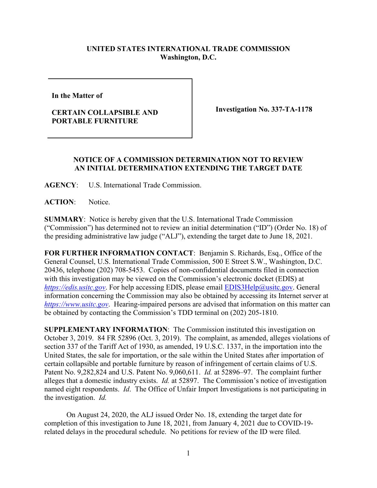## **UNITED STATES INTERNATIONAL TRADE COMMISSION Washington, D.C.**

**In the Matter of** 

## **CERTAIN COLLAPSIBLE AND PORTABLE FURNITURE**

**Investigation No. 337-TA-1178**

## **NOTICE OF A COMMISSION DETERMINATION NOT TO REVIEW AN INITIAL DETERMINATION EXTENDING THE TARGET DATE**

**AGENCY**: U.S. International Trade Commission.

**ACTION**: Notice.

**SUMMARY**: Notice is hereby given that the U.S. International Trade Commission ("Commission") has determined not to review an initial determination ("ID") (Order No. 18) of the presiding administrative law judge ("ALJ"), extending the target date to June 18, 2021.

**FOR FURTHER INFORMATION CONTACT**: Benjamin S. Richards, Esq., Office of the General Counsel, U.S. International Trade Commission, 500 E Street S.W., Washington, D.C. 20436, telephone (202) 708-5453. Copies of non-confidential documents filed in connection with this investigation may be viewed on the Commission's electronic docket (EDIS) at *[https://edis.usitc.gov](https://edis.usitc.gov/)*. For help accessing EDIS, please email [EDIS3Help@usitc.gov.](mailto:EDIS3Help@usitc.gov) General information concerning the Commission may also be obtained by accessing its Internet server at *[https://www.usitc.gov](https://www.usitc.gov/)*. Hearing-impaired persons are advised that information on this matter can be obtained by contacting the Commission's TDD terminal on (202) 205-1810.

**SUPPLEMENTARY INFORMATION**: The Commission instituted this investigation on October 3, 2019. 84 FR 52896 (Oct. 3, 2019). The complaint, as amended, alleges violations of section 337 of the Tariff Act of 1930, as amended, 19 U.S.C. 1337, in the importation into the United States, the sale for importation, or the sale within the United States after importation of certain collapsible and portable furniture by reason of infringement of certain claims of U.S. Patent No. 9,282,824 and U.S. Patent No. 9,060,611. *Id.* at 52896–97. The complaint further alleges that a domestic industry exists. *Id.* at 52897. The Commission's notice of investigation named eight respondents. *Id*. The Office of Unfair Import Investigations is not participating in the investigation. *Id.*

On August 24, 2020, the ALJ issued Order No. 18, extending the target date for completion of this investigation to June 18, 2021, from January 4, 2021 due to COVID-19 related delays in the procedural schedule. No petitions for review of the ID were filed.